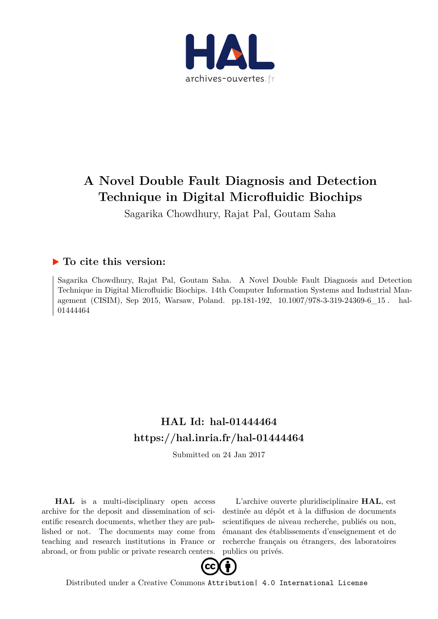

# **A Novel Double Fault Diagnosis and Detection Technique in Digital Microfluidic Biochips**

Sagarika Chowdhury, Rajat Pal, Goutam Saha

## **To cite this version:**

Sagarika Chowdhury, Rajat Pal, Goutam Saha. A Novel Double Fault Diagnosis and Detection Technique in Digital Microfluidic Biochips. 14th Computer Information Systems and Industrial Management (CISIM), Sep 2015, Warsaw, Poland. pp.181-192, 10.1007/978-3-319-24369-6\_15. hal-01444464

# **HAL Id: hal-01444464 <https://hal.inria.fr/hal-01444464>**

Submitted on 24 Jan 2017

**HAL** is a multi-disciplinary open access archive for the deposit and dissemination of scientific research documents, whether they are published or not. The documents may come from teaching and research institutions in France or abroad, or from public or private research centers.

L'archive ouverte pluridisciplinaire **HAL**, est destinée au dépôt et à la diffusion de documents scientifiques de niveau recherche, publiés ou non, émanant des établissements d'enseignement et de recherche français ou étrangers, des laboratoires publics ou privés.



Distributed under a Creative Commons [Attribution| 4.0 International License](http://creativecommons.org/licenses/by/4.0/)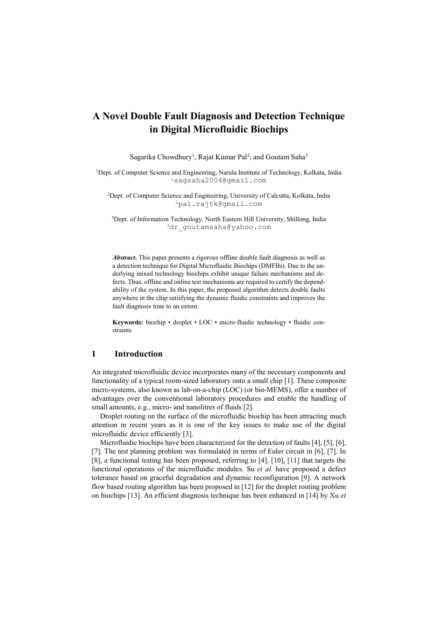## **A Novel Double Fault Diagnosis and Detection Technique in Digital Microfluidic Biochips**

Sagarika Chowdhury<sup>1</sup>, Rajat Kumar Pal<sup>2</sup>, and Goutam Saha<sup>3</sup>

<sup>1</sup>Dept. of Computer Science and Engineering, Narula Institute of Technology, Kolkata, India <sup>1</sup>[sagsaha2004@gmail.com](mailto:sagsaha2004@gmail.com)

<sup>2</sup>Dept. of Computer Science and Engineering, University of Calcutta, Kolkata, India <sup>2</sup>pal.rajtk@gmail.com

<sup>3</sup>Dept. of Information Technology, North Eastern Hill University, Shillong, India 3dr goutamsaha@yahoo.com

*Abstract***.** This paper presents a rigorous offline double fault diagnosis as well as a detection technique for Digital Microfluidic Biochips (DMFBs). Due to the underlying mixed technology biochips exhibit unique failure mechanisms and defects. Thus, offline and online test mechanisms are required to certify the dependability of the system. In this paper, the proposed algorithm detects double faults anywhere in the chip satisfying the dynamic fluidic constraints and improves the fault diagnosis time to an extent.

**Keywords:** biochip • droplet • LOC • micro-fluidic technology • fluidic constraints

## **1 Introduction**

An integrated microfluidic device incorporates many of the necessary components and functionality of a typical room-sized laboratory onto a small chip [1]. These composite micro-systems, also known as lab-on-a-chip (LOC) (or bio-MEMS), offer a number of advantages over the conventional laboratory procedures and enable the handling of small amounts, e.g., micro- and nanolitres of fluids [2].

Droplet routing on the surface of the microfluidic biochip has been attracting much attention in recent years as it is one of the key issues to make use of the digital microfluidic device efficiently [3].

Microfluidic biochips have been characterized for the detection of faults [4], [5], [6], [7]. The test planning problem was formulated in terms of Euler circuit in [6], [7]. In [8], a functional testing has been proposed, referring to [4], [10], [11] that targets the functional operations of the microfluidic modules. Su *et al.* have proposed a defect tolerance based on graceful degradation and dynamic reconfiguration [9]. A network flow based routing algorithm has been proposed in [12] for the droplet routing problem on biochips [13]. An efficient diagnosis technique has been enhanced in [14] by Xu *et*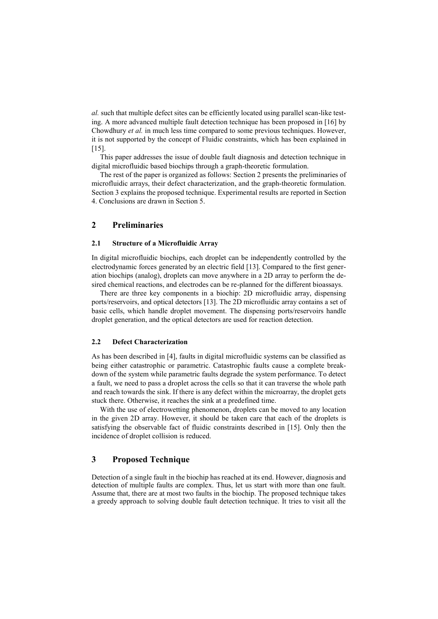*al.* such that multiple defect sites can be efficiently located using parallel scan-like testing. A more advanced multiple fault detection technique has been proposed in [16] by Chowdhury *et al.* in much less time compared to some previous techniques. However, it is not supported by the concept of Fluidic constraints, which has been explained in  $[15]$ .

This paper addresses the issue of double fault diagnosis and detection technique in digital microfluidic based biochips through a graph-theoretic formulation.

The rest of the paper is organized as follows: Section 2 presents the preliminaries of microfluidic arrays, their defect characterization, and the graph-theoretic formulation. Section 3 explains the proposed technique. Experimental results are reported in Section 4. Conclusions are drawn in Section 5.

## **2 Preliminaries**

#### **2.1 Structure of a Microfluidic Array**

In digital microfluidic biochips, each droplet can be independently controlled by the electrodynamic forces generated by an electric field [13]. Compared to the first generation biochips (analog), droplets can move anywhere in a 2D array to perform the desired chemical reactions, and electrodes can be re-planned for the different bioassays.

There are three key components in a biochip: 2D microfluidic array, dispensing ports/reservoirs, and optical detectors [13]. The 2D microfluidic array contains a set of basic cells, which handle droplet movement. The dispensing ports/reservoirs handle droplet generation, and the optical detectors are used for reaction detection.

#### **2.2 Defect Characterization**

As has been described in [4], faults in digital microfluidic systems can be classified as being either catastrophic or parametric. Catastrophic faults cause a complete breakdown of the system while parametric faults degrade the system performance. To detect a fault, we need to pass a droplet across the cells so that it can traverse the whole path and reach towards the sink. If there is any defect within the microarray, the droplet gets stuck there. Otherwise, it reaches the sink at a predefined time.

With the use of electrowetting phenomenon, droplets can be moved to any location in the given 2D array. However, it should be taken care that each of the droplets is satisfying the observable fact of fluidic constraints described in [15]. Only then the incidence of droplet collision is reduced.

## **3 Proposed Technique**

Detection of a single fault in the biochip has reached at its end. However, diagnosis and detection of multiple faults are complex. Thus, let us start with more than one fault. Assume that, there are at most two faults in the biochip. The proposed technique takes a greedy approach to solving double fault detection technique. It tries to visit all the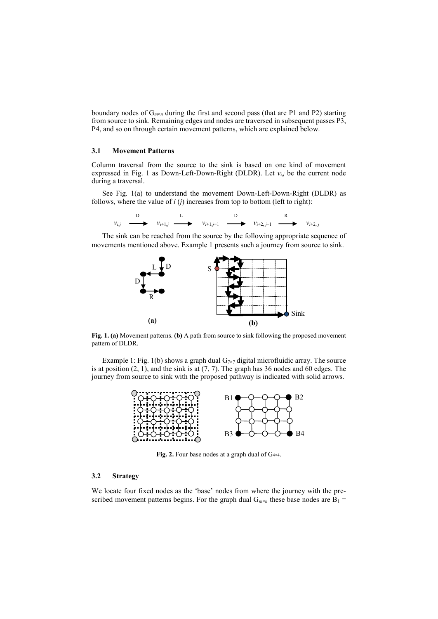boundary nodes of  $G_{m\times n}$  during the first and second pass (that are P1 and P2) starting from source to sink. Remaining edges and nodes are traversed in subsequent passes P3, P4, and so on through certain movement patterns, which are explained below.

#### **3.1 Movement Patterns**

Column traversal from the source to the sink is based on one kind of movement expressed in Fig. 1 as Down-Left-Down-Right (DLDR). Let  $v_{i,j}$  be the current node during a traversal.

See Fig. 1(a) to understand the movement Down-Left-Down-Right (DLDR) as follows, where the value of *i* (*j*) increases from top to bottom (left to right):



The sink can be reached from the source by the following appropriate sequence of movements mentioned above. Example 1 presents such a journey from source to sink.



**Fig. 1. (a)** Movement patterns. **(b)** A path from source to sink following the proposed movement pattern of DLDR.

Example 1: Fig. 1(b) shows a graph dual  $G_{7\times7}$  digital microfluidic array. The source is at position  $(2, 1)$ , and the sink is at  $(7, 7)$ . The graph has 36 nodes and 60 edges. The journey from source to sink with the proposed pathway is indicated with solid arrows.



Fig. 2. Four base nodes at a graph dual of G<sub>4×4</sub>.

#### **3.2 Strategy**

We locate four fixed nodes as the 'base' nodes from where the journey with the prescribed movement patterns begins. For the graph dual  $G_{m \times n}$  these base nodes are  $B_1 =$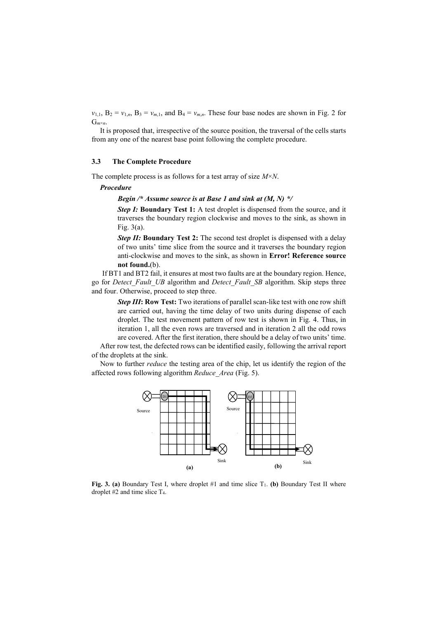$v_{1,1}$ ,  $B_2 = v_{1,n}$ ,  $B_3 = v_{m,1}$ , and  $B_4 = v_{m,n}$ . These four base nodes are shown in Fig. 2 for  $G_{m \times n}$ .

It is proposed that, irrespective of the source position, the traversal of the cells starts from any one of the nearest base point following the complete procedure.

#### **3.3 The Complete Procedure**

The complete process is as follows for a test array of size *M*×*N*.

#### *Procedure*

#### *Begin /\* Assume source is at Base 1 and sink at (M, N) \*/*

**Step I: Boundary Test 1:** A test droplet is dispensed from the source, and it traverses the boundary region clockwise and moves to the sink, as shown in Fig. 3(a).

**Step II: Boundary Test 2:** The second test droplet is dispensed with a delay of two units' time slice from the source and it traverses the boundary region anti-clockwise and moves to the sink, as shown in **Error! Reference source not found.**(b).

If BT1 and BT2 fail, it ensures at most two faults are at the boundary region. Hence, go for *Detect\_Fault\_UB* algorithm and *Detect\_Fault\_SB* algorithm. Skip steps three and four. Otherwise, proceed to step three.

> *Step III***: Row Test:** Two iterations of parallel scan-like test with one row shift are carried out, having the time delay of two units during dispense of each droplet. The test movement pattern of row test is shown in Fig. 4. Thus, in iteration 1, all the even rows are traversed and in iteration 2 all the odd rows are covered. After the first iteration, there should be a delay of two units' time.

After row test, the defected rows can be identified easily, following the arrival report of the droplets at the sink.

Now to further *reduce* the testing area of the chip, let us identify the region of the affected rows following algorithm *Reduce\_Area* (Fig. 5).



**Fig. 3. (a)** Boundary Test I, where droplet #1 and time slice T<sub>1</sub>. **(b)** Boundary Test II where droplet #2 and time slice T4.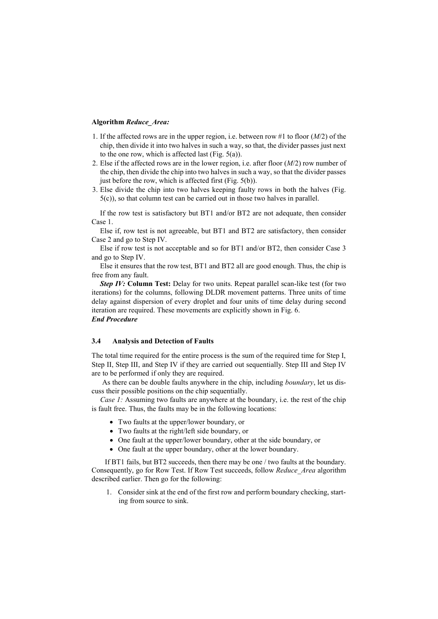#### **Algorithm** *Reduce\_Area:*

- 1. If the affected rows are in the upper region, i.e. between row #1 to floor (*M*/2) of the chip, then divide it into two halves in such a way, so that, the divider passes just next to the one row, which is affected last (Fig. 5(a)).
- 2. Else if the affected rows are in the lower region, i.e. after floor (*M*/2) row number of the chip, then divide the chip into two halves in such a way, so that the divider passes just before the row, which is affected first (Fig.  $5(b)$ ).
- 3. Else divide the chip into two halves keeping faulty rows in both the halves (Fig. 5(c)), so that column test can be carried out in those two halves in parallel.

If the row test is satisfactory but BT1 and/or BT2 are not adequate, then consider Case 1.

Else if, row test is not agreeable, but BT1 and BT2 are satisfactory, then consider Case 2 and go to Step IV.

Else if row test is not acceptable and so for BT1 and/or BT2, then consider Case 3 and go to Step IV.

Else it ensures that the row test, BT1 and BT2 all are good enough. Thus, the chip is free from any fault.

*Step IV:* **Column Test:** Delay for two units. Repeat parallel scan-like test (for two iterations) for the columns, following DLDR movement patterns. Three units of time delay against dispersion of every droplet and four units of time delay during second iteration are required. These movements are explicitly shown in Fig. 6. *End Procedure*

#### **3.4 Analysis and Detection of Faults**

The total time required for the entire process is the sum of the required time for Step I, Step II, Step III, and Step IV if they are carried out sequentially. Step III and Step IV are to be performed if only they are required.

As there can be double faults anywhere in the chip, including *boundary*, let us discuss their possible positions on the chip sequentially.

*Case 1:* Assuming two faults are anywhere at the boundary, i.e. the rest of the chip is fault free. Thus, the faults may be in the following locations:

- Two faults at the upper/lower boundary, or
- Two faults at the right/left side boundary, or
- One fault at the upper/lower boundary, other at the side boundary, or
- One fault at the upper boundary, other at the lower boundary.

If BT1 fails, but BT2 succeeds, then there may be one / two faults at the boundary. Consequently, go for Row Test. If Row Test succeeds, follow *Reduce\_Area* algorithm described earlier. Then go for the following:

1. Consider sink at the end of the first row and perform boundary checking, starting from source to sink.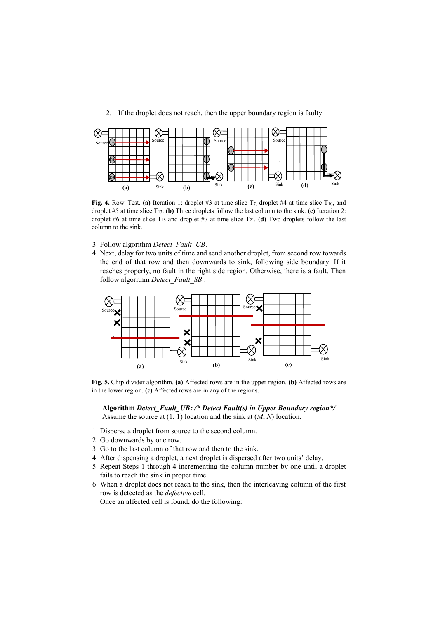2. If the droplet does not reach, then the upper boundary region is faulty.



Fig. 4. Row\_Test. (a) Iteration 1: droplet #3 at time slice T<sub>7</sub>, droplet #4 at time slice T<sub>10</sub>, and droplet #5 at time slice T13. **(b)** Three droplets follow the last column to the sink. **(c)** Iteration 2: droplet #6 at time slice  $T_{18}$  and droplet #7 at time slice  $T_{21}$ . **(d)** Two droplets follow the last column to the sink.

- 3. Follow algorithm *Detect\_Fault\_UB*.
- 4. Next, delay for two units of time and send another droplet, from second row towards the end of that row and then downwards to sink, following side boundary. If it reaches properly, no fault in the right side region. Otherwise, there is a fault. Then follow algorithm *Detect\_Fault\_SB* .



**Fig. 5.** Chip divider algorithm. **(a)** Affected rows are in the upper region. **(b)** Affected rows are in the lower region. **(c)** Affected rows are in any of the regions.

**Algorithm** *Detect\_Fault\_UB: /\* Detect Fault(s) in Upper Boundary region\*/* Assume the source at (1, 1) location and the sink at (*M*, *N*) location.

- 1. Disperse a droplet from source to the second column.
- 2. Go downwards by one row.
- 3. Go to the last column of that row and then to the sink.
- 4. After dispensing a droplet, a next droplet is dispersed after two units' delay.
- 5. Repeat Steps 1 through 4 incrementing the column number by one until a droplet fails to reach the sink in proper time.
- 6. When a droplet does not reach to the sink, then the interleaving column of the first row is detected as the *defective* cell.

Once an affected cell is found, do the following: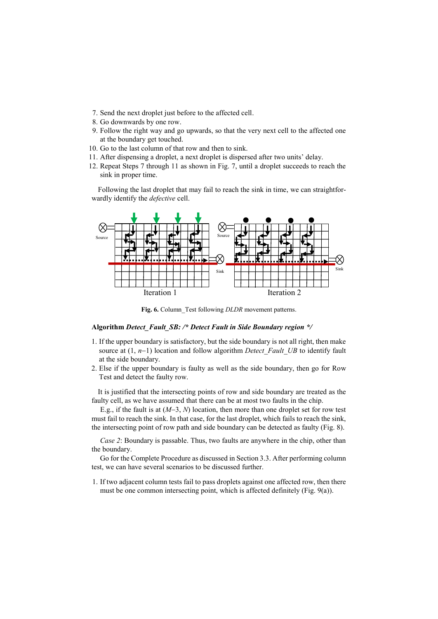- 7. Send the next droplet just before to the affected cell.
- 8. Go downwards by one row.
- 9. Follow the right way and go upwards, so that the very next cell to the affected one at the boundary get touched.
- 10. Go to the last column of that row and then to sink.
- 11. After dispensing a droplet, a next droplet is dispersed after two units' delay.
- 12. Repeat Steps 7 through 11 as shown in Fig. 7, until a droplet succeeds to reach the sink in proper time.

Following the last droplet that may fail to reach the sink in time, we can straightforwardly identify the *defective* cell.



**Fig. 6.** Column\_Test following *DLDR* movement patterns.

#### **Algorithm** *Detect\_Fault\_SB: /\* Detect Fault in Side Boundary region \*/*

- 1. If the upper boundary is satisfactory, but the side boundary is not all right, then make source at  $(1, n-1)$  location and follow algorithm *Detect Fault UB* to identify fault at the side boundary.
- 2. Else if the upper boundary is faulty as well as the side boundary, then go for Row Test and detect the faulty row.

It is justified that the intersecting points of row and side boundary are treated as the faulty cell, as we have assumed that there can be at most two faults in the chip.

E.g., if the fault is at  $(M-3, N)$  location, then more than one droplet set for row test must fail to reach the sink. In that case, for the last droplet, which fails to reach the sink, the intersecting point of row path and side boundary can be detected as faulty (Fig. 8).

*Case 2*: Boundary is passable. Thus, two faults are anywhere in the chip, other than the boundary.

Go for the Complete Procedure as discussed in Section 3.3. After performing column test, we can have several scenarios to be discussed further.

1. If two adjacent column tests fail to pass droplets against one affected row, then there must be one common intersecting point, which is affected definitely (Fig. 9(a)).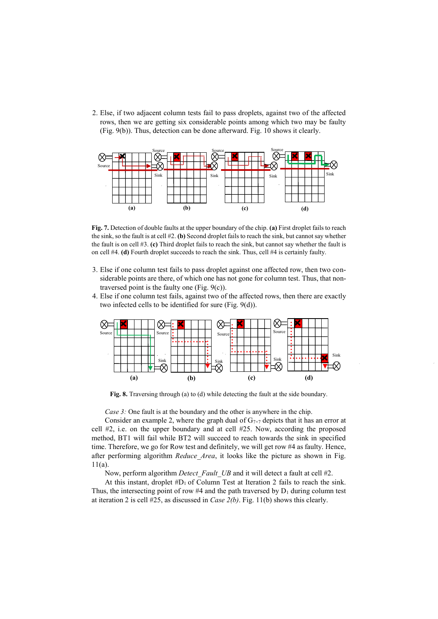2. Else, if two adjacent column tests fail to pass droplets, against two of the affected rows, then we are getting six considerable points among which two may be faulty (Fig. 9(b)). Thus, detection can be done afterward. Fig. 10 shows it clearly.



**Fig. 7.** Detection of double faults at the upper boundary of the chip. **(a)** First droplet fails to reach the sink, so the fault is at cell #2. **(b)** Second droplet fails to reach the sink, but cannot say whether the fault is on cell #3. **(c)** Third droplet fails to reach the sink, but cannot say whether the fault is on cell #4. **(d)** Fourth droplet succeeds to reach the sink. Thus, cell #4 is certainly faulty.

- 3. Else if one column test fails to pass droplet against one affected row, then two considerable points are there, of which one has not gone for column test. Thus, that nontraversed point is the faulty one (Fig. 9(c)).
- 4. Else if one column test fails, against two of the affected rows, then there are exactly two infected cells to be identified for sure (Fig. 9(d)).



**Fig. 8.** Traversing through (a) to (d) while detecting the fault at the side boundary.

*Case 3:* One fault is at the boundary and the other is anywhere in the chip.

Consider an example 2, where the graph dual of  $G_{7\times 7}$  depicts that it has an error at cell #2, i.e. on the upper boundary and at cell #25. Now, according the proposed method, BT1 will fail while BT2 will succeed to reach towards the sink in specified time. Therefore, we go for Row test and definitely, we will get row #4 as faulty. Hence, after performing algorithm *Reduce\_Area*, it looks like the picture as shown in Fig. 11(a).

Now, perform algorithm *Detect Fault UB* and it will detect a fault at cell #2.

At this instant, droplet  $\#D_1$  of Column Test at Iteration 2 fails to reach the sink. Thus, the intersecting point of row #4 and the path traversed by  $D_1$  during column test at iteration 2 is cell #25, as discussed in *Case 2(b)*. Fig. 11(b) shows this clearly.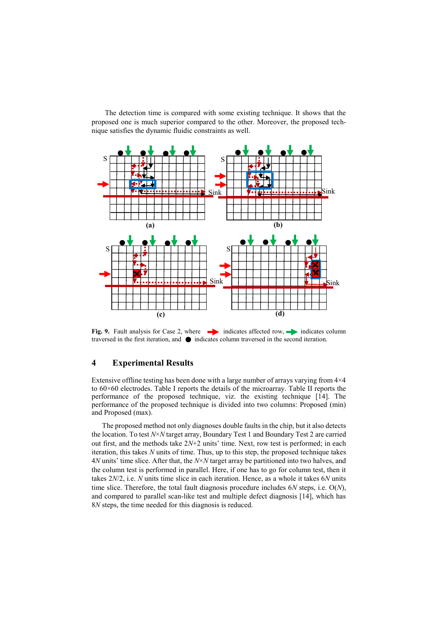The detection time is compared with some existing technique. It shows that the proposed one is much superior compared to the other. Moreover, the proposed technique satisfies the dynamic fluidic constraints as well.



**Fig. 9.** Fault analysis for Case 2, where indicates affected row, indicates column traversed in the first iteration, and  $\bullet$  indicates column traversed in the second iteration.

## **4 Experimental Results**

Extensive offline testing has been done with a large number of arrays varying from 4×4 to 60×60 electrodes. Table I reports the details of the microarray. Table II reports the performance of the proposed technique, viz. the existing technique [14]. The performance of the proposed technique is divided into two columns: Proposed (min) and Proposed (max).

The proposed method not only diagnoses double faults in the chip, but it also detects the location. To test *N*×*N* target array, Boundary Test 1 and Boundary Test 2 are carried out first, and the methods take 2*N*+2 units' time. Next, row test is performed; in each iteration, this takes *N* units of time. Thus, up to this step, the proposed technique takes 4*N* units' time slice. After that, the *N*×*N* target array be partitioned into two halves, and the column test is performed in parallel. Here, if one has to go for column test, then it takes 2*N*/2, i.e. *N* units time slice in each iteration. Hence, as a whole it takes 6*N* units time slice. Therefore, the total fault diagnosis procedure includes 6*N* steps, i.e. O(*N*), and compared to parallel scan-like test and multiple defect diagnosis [14], which has 8*N* steps, the time needed for this diagnosis is reduced.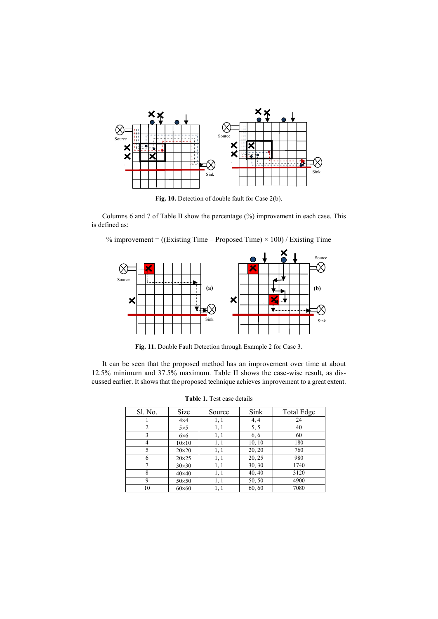

Fig. 10. Detection of double fault for Case 2(b).

Columns 6 and 7 of Table II show the percentage (%) improvement in each case. This is defined as:

% improvement =  $((Existing Time - Proposed Time) \times 100) / Existing Time$ 



**Fig. 11.** Double Fault Detection through Example 2 for Case 3.

It can be seen that the proposed method has an improvement over time at about 12.5% minimum and 37.5% maximum. Table II shows the case-wise result, as discussed earlier. It shows that the proposed technique achieves improvement to a great extent.

| Sl. No.        | Size          | Source | Sink   | <b>Total Edge</b> |
|----------------|---------------|--------|--------|-------------------|
|                | $4\times4$    | 1, 1   | 4, 4   | 24                |
| 2              | $5\times5$    | 1, 1   | 5, 5   | 40                |
| 3              | $6\times 6$   | 1, 1   | 6,6    | 60                |
| 4              | $10\times10$  | 1, 1   | 10, 10 | 180               |
| 5              | $20\times20$  | 1,1    | 20, 20 | 760               |
| 6              | $20\times25$  | 1, 1   | 20, 25 | 980               |
| $\overline{7}$ | $30\times30$  | 1,1    | 30, 30 | 1740              |
| 8              | $40\times40$  | 1,1    | 40, 40 | 3120              |
| 9              | $50\times50$  | 1, 1   | 50, 50 | 4900              |
| 10             | $60\times 60$ | 1, 1   | 60, 60 | 7080              |

**Table 1.** Test case details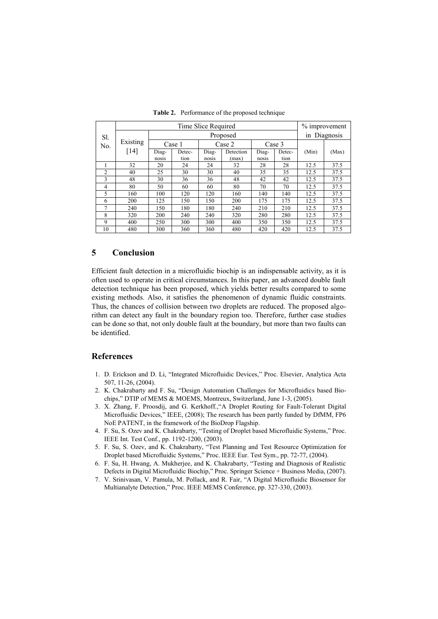|                | Time Slice Required |          |        |        |           |        |        |              | % improvement |  |
|----------------|---------------------|----------|--------|--------|-----------|--------|--------|--------------|---------------|--|
| Sl.<br>No.     | Existing<br>$[14]$  | Proposed |        |        |           |        |        | in Diagnosis |               |  |
|                |                     | Case 1   |        | Case 2 |           | Case 3 |        |              |               |  |
|                |                     | Diag-    | Detec- | Diag-  | Detection | Diag-  | Detec- | (Min)        | (Max)         |  |
|                |                     | nosis    | tion   | nosis  | (max)     | nosis  | tion   |              |               |  |
|                | 32                  | 20       | 24     | 24     | 32        | 28     | 28     | 12.5         | 37.5          |  |
| $\overline{2}$ | 40                  | 25       | 30     | 30     | 40        | 35     | 35     | 12.5         | 37.5          |  |
| $\mathcal{E}$  | 48                  | 30       | 36     | 36     | 48        | 42     | 42     | 12.5         | 37.5          |  |
| 4              | 80                  | 50       | 60     | 60     | 80        | 70     | 70     | 12.5         | 37.5          |  |
| $\overline{5}$ | 160                 | 100      | 120    | 120    | 160       | 140    | 140    | 12.5         | 37.5          |  |
| 6              | 200                 | 125      | 150    | 150    | 200       | 175    | 175    | 12.5         | 37.5          |  |
| 7              | 240                 | 150      | 180    | 180    | 240       | 210    | 210    | 12.5         | 37.5          |  |
| 8              | 320                 | 200      | 240    | 240    | 320       | 280    | 280    | 12.5         | 37.5          |  |
| 9              | 400                 | 250      | 300    | 300    | 400       | 350    | 350    | 12.5         | 37.5          |  |
| 10             | 480                 | 300      | 360    | 360    | 480       | 420    | 420    | 12.5         | 37.5          |  |

**Table 2.** Performance of the proposed technique

### **5 Conclusion**

Efficient fault detection in a microfluidic biochip is an indispensable activity, as it is often used to operate in critical circumstances. In this paper, an advanced double fault detection technique has been proposed, which yields better results compared to some existing methods. Also, it satisfies the phenomenon of dynamic fluidic constraints. Thus, the chances of collision between two droplets are reduced. The proposed algorithm can detect any fault in the boundary region too. Therefore, further case studies can be done so that, not only double fault at the boundary, but more than two faults can be identified.

### **References**

- 1. D. Erickson and D. Li, "Integrated Microfluidic Devices," Proc. Elsevier, Analytica Acta 507, 11-26, (2004).
- 2. K. Chakrabarty and F. Su, "Design Automation Challenges for Microfluidics based Biochips," DTIP of MEMS & MOEMS, Montreux, Switzerland, June 1-3, (2005).
- 3. X. Zhang, F. Proosdij, and G. Kerkhoff.,"A Droplet Routing for Fault-Tolerant Digital Microfluidic Devices," IEEE, (2008); The research has been partly funded by DfMM, FP6 NoE PATENT, in the framework of the BioDrop Flagship.
- 4. F. Su, S. Ozev and K. Chakrabarty, "Testing of Droplet based Microfluidic Systems," Proc. IEEE Int. Test Conf., pp. 1192-1200, (2003).
- 5. F. Su, S. Ozev, and K. Chakrabarty, "Test Planning and Test Resource Optimization for Droplet based Microfluidic Systems," Proc. IEEE Eur. Test Sym., pp. 72-77, (2004).
- 6. F. Su, H. Hwang, A. Mukherjee, and K. Chakrabarty, "Testing and Diagnosis of Realistic Defects in Digital Microfluidic Biochip," Proc. Springer Science + Business Media, (2007).
- 7. V. Srinivasan, V. Pamula, M. Pollack, and R. Fair, "A Digital Microfluidic Biosensor for Multianalyte Detection," Proc. IEEE MEMS Conference, pp. 327-330, (2003).